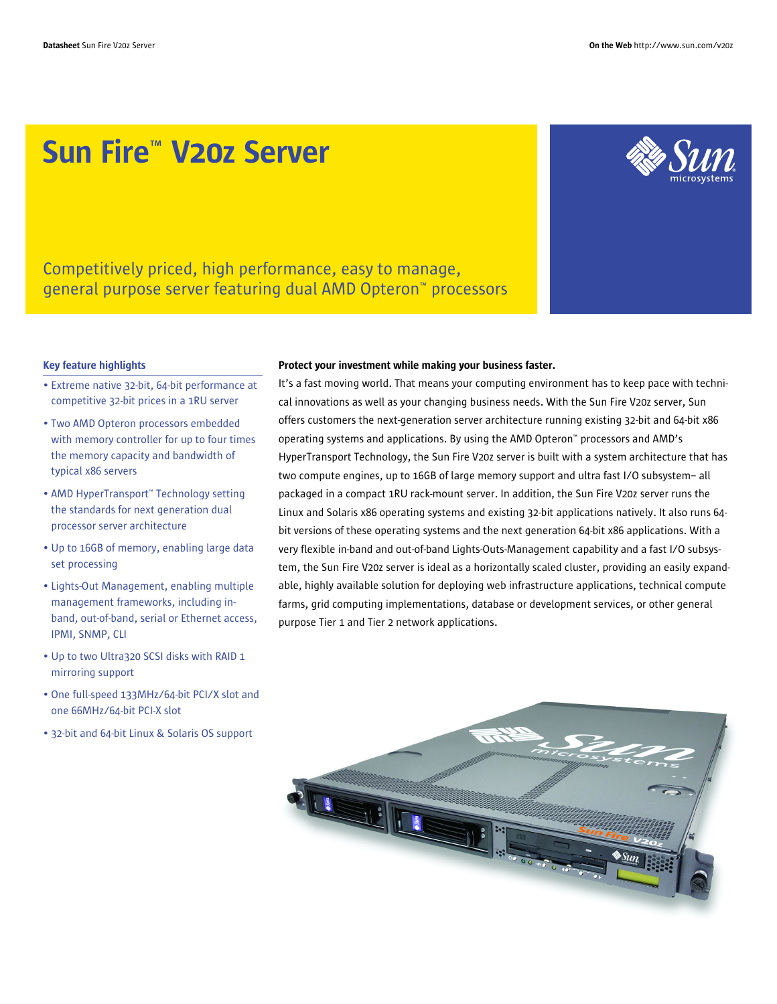# Sun Fire™ V20z Server



Competitively priced, high performance, easy to manage, general purpose server featuring dual AMD Opteron™ processors

#### Key feature highlights

- Extreme native 32-bit, 64-bit performance at competitive 32-bit prices in a 1RU server
- Two AMD Opteron processors embedded with memory controller for up to four times the memory capacity and bandwidth of typical x86 servers
- AMD HyperTransport™ Technology setting the standards for next generation dual processor server architecture
- Up to 16GB of memory, enabling large data set processing
- Lights-Out Management, enabling multiple management frameworks, including inband, out-of-band, serial or Ethernet access, IPMI, SNMP, CLI
- Up to two Ultra320 SCSI disks with RAID 1 mirroring support
- One full-speed 133MHz/64-bit PCI/X slot and one 66MHz/64-bit PCI-X slot
- 32-bit and 64-bit Linux & Solaris OS support

#### Protect your investment while making your business faster.

It's a fast moving world. That means your computing environment has to keep pace with technical innovations as well as your changing business needs. With the Sun Fire V20z server, Sun offers customers the next-generation server architecture running existing 32-bit and 64-bit x86 operating systems and applications. By using the AMD Opteron™ processors and AMD's HyperTransport Technology, the Sun Fire V20z server is built with a system architecture that has two compute engines, up to 16GB of large memory support and ultra fast I/O subsystem– all packaged in a compact 1RU rack-mount server. In addition, the Sun Fire V20z server runs the Linux and Solaris x86 operating systems and existing 32-bit applications natively. It also runs 64 bit versions of these operating systems and the next generation 64-bit x86 applications. With a very flexible in-band and out-of-band Lights-Outs-Management capability and a fast I/O subsystem, the Sun Fire V20z server is ideal as a horizontally scaled cluster, providing an easily expandable, highly available solution for deploying web infrastructure applications, technical compute farms, grid computing implementations, database or development services, or other general purpose Tier 1 and Tier 2 network applications.